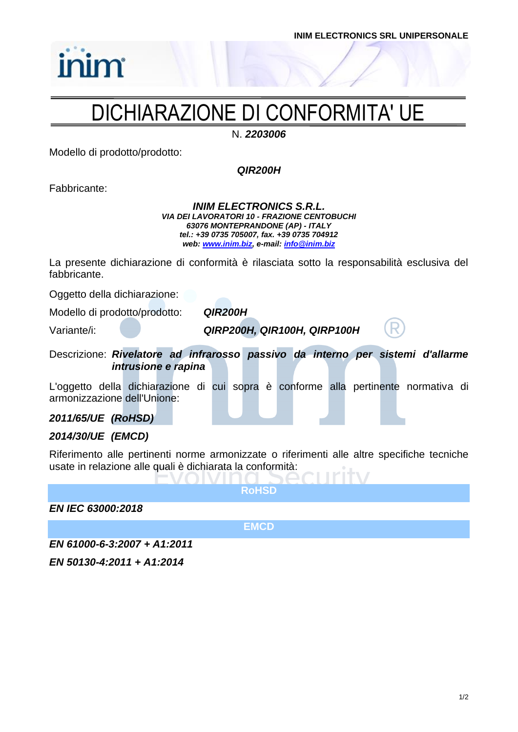# DICHIARAZIONE DI CONFORMITA' UE

N. *2203006*

Modello di prodotto/prodotto:

*QIR200H*

Fabbricante:

*inim* 

#### *INIM ELECTRONICS S.R.L. VIA DEI LAVORATORI 10 - FRAZIONE CENTOBUCHI 63076 MONTEPRANDONE (AP) - ITALY tel.: +39 0735 705007, fax. +39 0735 704912 web: [www.inim.biz,](http://www.inim.biz/) e-mail[: info@inim.biz](mailto:info@inim.biz)*

La presente dichiarazione di conformità è rilasciata sotto la responsabilità esclusiva del fabbricante.

Oggetto della dichiarazione:

Modello di prodotto/prodotto: *QIR200H*

Variante/i: *QIRP200H, QIR100H, QIRP100H*

Descrizione: *Rivelatore ad infrarosso passivo da interno per sistemi d'allarme intrusione e rapina*

L'oggetto della dichiarazione di cui sopra è conforme alla pertinente normativa di armonizzazione dell'Unione:

## *2011/65/UE (RoHSD)*

## *2014/30/UE (EMCD)*

Riferimento alle pertinenti norme armonizzate o riferimenti alle altre specifiche tecniche usate in relazione alle quali è dichiarata la conformità:

**RoHSD**

*EN IEC 63000:2018*

**EMCD**

*EN 61000-6-3:2007 + A1:2011*

*EN 50130-4:2011 + A1:2014*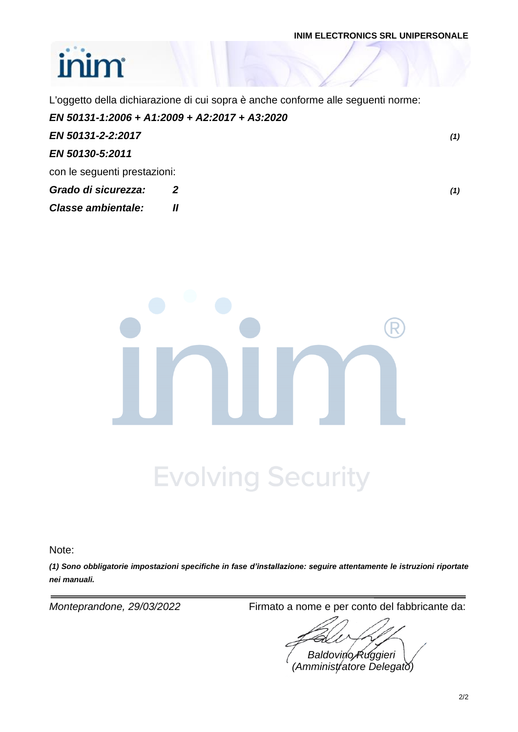### **INIM ELECTRONICS SRL UNIPERSONALE**

# inim

L'oggetto della dichiarazione di cui sopra è anche conforme alle seguenti norme:

|                              | EN 50131-1:2006 + A1:2009 + A2:2017 + A3:2020 |     |
|------------------------------|-----------------------------------------------|-----|
| EN 50131-2-2:2017            |                                               | (1) |
| EN 50130-5:2011              |                                               |     |
| con le seguenti prestazioni: |                                               |     |
| Grado di sicurezza:          |                                               | (1) |
| <b>Classe ambientale:</b>    |                                               |     |



Note:

*(1) Sono obbligatorie impostazioni specifiche in fase d'installazione: seguire attentamente le istruzioni riportate nei manuali.*

*Monteprandone, 29/03/2022* Firmato a nome e per conto del fabbricante da:

*Baldovino Ruggieri (Amministratore Delegato)*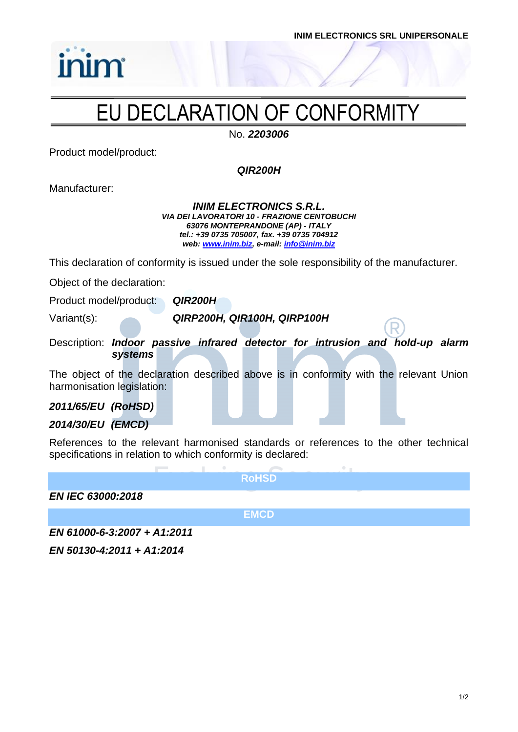

# EU DECLARATION OF CONFORMITY

No. *2203006*

Product model/product:

inim

*QIR200H*

Manufacturer:

#### *INIM ELECTRONICS S.R.L. VIA DEI LAVORATORI 10 - FRAZIONE CENTOBUCHI 63076 MONTEPRANDONE (AP) - ITALY tel.: +39 0735 705007, fax. +39 0735 704912 web: [www.inim.biz,](http://www.inim.biz/) e-mail[: info@inim.biz](mailto:info@inim.biz)*

This declaration of conformity is issued under the sole responsibility of the manufacturer.

Object of the declaration:

Product model/product: *QIR200H*

Variant(s): *QIRP200H, QIR100H, QIRP100H*

Description: *Indoor passive infrared detector for intrusion and hold-up alarm systems*

The object of the declaration described above is in conformity with the relevant Union harmonisation legislation:

*2011/65/EU (RoHSD)*

## *2014/30/EU (EMCD)*

References to the relevant harmonised standards or references to the other technical specifications in relation to which conformity is declared:

**RoHSD** *EN IEC 63000:2018* **EMCD**

*EN 61000-6-3:2007 + A1:2011*

*EN 50130-4:2011 + A1:2014*